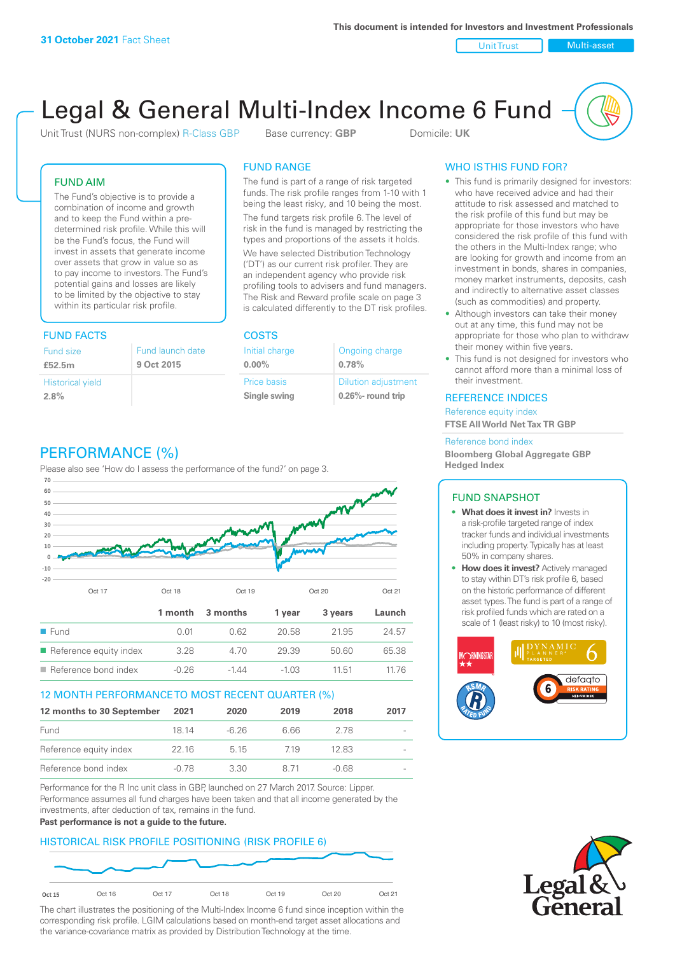Unit Trust Nulti-asset

# Legal & General Multi-Index Income 6 Fund

Unit Trust (NURS non-complex) R-Class GBP Base currency: **GBP** Domicile: UK

### FUND AIM

The Fund's objective is to provide a combination of income and growth and to keep the Fund within a predetermined risk profile. While this will be the Fund's focus, the Fund will invest in assets that generate income over assets that grow in value so as to pay income to investors. The Fund's potential gains and losses are likely to be limited by the objective to stay within its particular risk profile.

### FUND FACTS COSTS

| Fund size                       | Fund launch date |
|---------------------------------|------------------|
| £52.5m                          | 9 Oct 2015       |
| <b>Historical yield</b><br>2.8% |                  |

### FUND RANGE

The fund is part of a range of risk targeted funds. The risk profile ranges from 1-10 with 1 being the least risky, and 10 being the most.

The fund targets risk profile 6. The level of risk in the fund is managed by restricting the types and proportions of the assets it holds. We have selected Distribution Technology ('DT') as our current risk profiler. They are an independent agency who provide risk profiling tools to advisers and fund managers. The Risk and Reward profile scale on page 3 is calculated differently to the DT risk profiles.

| Initial charge | Ongoing charge             |
|----------------|----------------------------|
| $0.00\%$       | 0.78%                      |
| Price basis    | <b>Dilution adjustment</b> |
| Single swing   | 0.26%- round trip          |

### PERFORMANCE (%)

Please also see 'How do I assess the performance of the fund?' on page 3.



### 12 MONTH PERFORMANCE TO MOST RECENT QUARTER (%)

| 12 months to 30 September | 2021  | 2020    | 2019 | 2018  | 2017 |
|---------------------------|-------|---------|------|-------|------|
| Fund                      | 18 14 | $-6.26$ | 6 66 | 278   |      |
| Reference equity index    | 22 16 | 5 1 5   | 719  | 1283  |      |
| Reference bond index      | -0.78 | 330     | 8 71 | -0.68 |      |

Performance for the R Inc unit class in GBP, launched on 27 March 2017. Source: Lipper. Performance assumes all fund charges have been taken and that all income generated by the investments, after deduction of tax, remains in the fund.

### **Past performance is not a guide to the future.**

### HISTORICAL RISK PROFILE POSITIONING (RISK PROFILE 6)



The chart illustrates the positioning of the Multi-Index Income 6 fund since inception within the corresponding risk profile. LGIM calculations based on month-end target asset allocations and the variance-covariance matrix as provided by Distribution Technology at the time.

### WHO IS THIS FUND FOR?

- This fund is primarily designed for investors: who have received advice and had their attitude to risk assessed and matched to the risk profile of this fund but may be appropriate for those investors who have considered the risk profile of this fund with the others in the Multi-Index range; who are looking for growth and income from an investment in bonds, shares in companies, money market instruments, deposits, cash and indirectly to alternative asset classes (such as commodities) and property.
- Although investors can take their money out at any time, this fund may not be appropriate for those who plan to withdraw their money within five years.
- This fund is not designed for investors who cannot afford more than a minimal loss of their investment.

### REFERENCE INDICES

Reference equity index **FTSE All World Net Tax TR GBP**

#### Reference bond index

**Bloomberg Global Aggregate GBP Hedged Index**

#### FUND SNAPSHOT

- **• What does it invest in?** Invests in a risk-profile targeted range of index tracker funds and individual investments including property. Typically has at least 50% in company shares.
- **• How does it invest?** Actively managed to stay within DT's risk profile 6, based on the historic performance of different asset types. The fund is part of a range of risk profiled funds which are rated on a scale of 1 (least risky) to 10 (most risky).



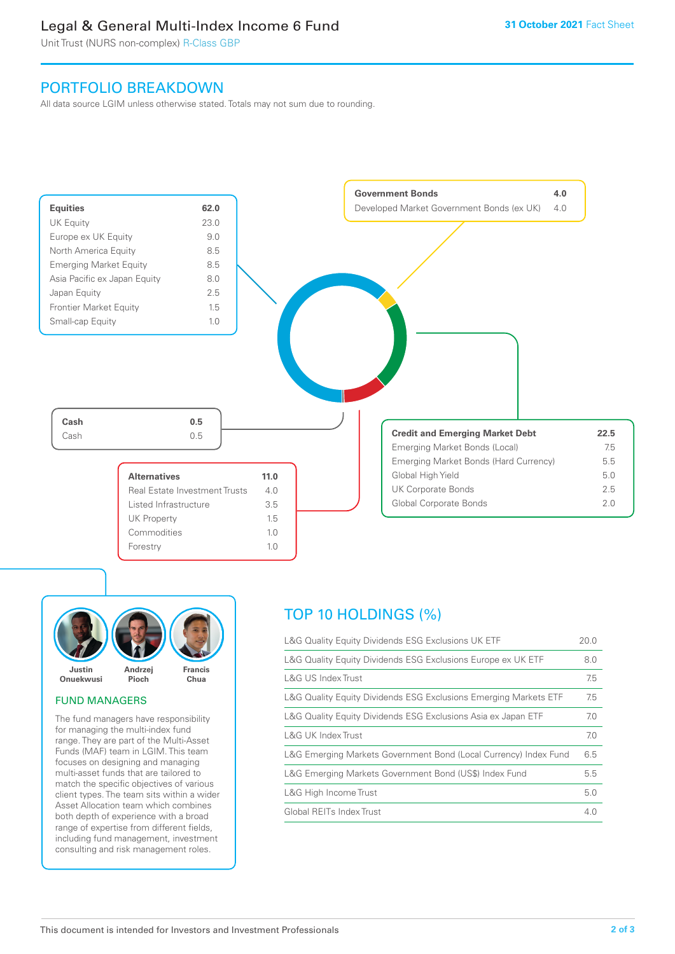### Legal & General Multi-Index Income 6 Fund

Unit Trust (NURS non-complex) R-Class GBP

### PORTFOLIO BREAKDOWN

All data source LGIM unless otherwise stated. Totals may not sum due to rounding.





### FUND MANAGERS

The fund managers have responsibility for managing the multi-index fund range. They are part of the Multi-Asset Funds (MAF) team in LGIM. This team focuses on designing and managing multi-asset funds that are tailored to match the specific objectives of various client types. The team sits within a wider Asset Allocation team which combines both depth of experience with a broad range of expertise from different fields, including fund management, investment consulting and risk management roles.

## TOP 10 HOLDINGS (%)

| L&G Quality Equity Dividends ESG Exclusions UK ETF               | 20.0 |
|------------------------------------------------------------------|------|
| L&G Quality Equity Dividends ESG Exclusions Europe ex UK ETF     | 8.0  |
| L&G US Index Trust                                               | 7.5  |
| L&G Quality Equity Dividends ESG Exclusions Emerging Markets ETF | 7.5  |
| L&G Quality Equity Dividends ESG Exclusions Asia ex Japan ETF    | 7.0  |
| L&G UK Index Trust                                               | 7.0  |
| L&G Emerging Markets Government Bond (Local Currency) Index Fund | 6.5  |
| L&G Emerging Markets Government Bond (US\$) Index Fund           | 5.5  |
| L&G High Income Trust                                            | 5.0  |
| Global REITs Index Trust                                         | 4.0  |